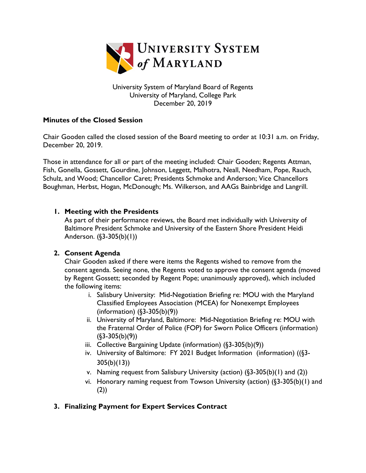

University System of Maryland Board of Regents University of Maryland, College Park December 20, 2019

## **Minutes of the Closed Session**

Chair Gooden called the closed session of the Board meeting to order at 10:31 a.m. on Friday, December 20, 2019.

Those in attendance for all or part of the meeting included: Chair Gooden; Regents Attman, Fish, Gonella, Gossett, Gourdine, Johnson, Leggett, Malhotra, Neall, Needham, Pope, Rauch, Schulz, and Wood; Chancellor Caret; Presidents Schmoke and Anderson; Vice Chancellors Boughman, Herbst, Hogan, McDonough; Ms. Wilkerson, and AAGs Bainbridge and Langrill.

#### **1. Meeting with the Presidents**

As part of their performance reviews, the Board met individually with University of Baltimore President Schmoke and University of the Eastern Shore President Heidi Anderson. (§3-305(b)(1))

## **2. Consent Agenda**

Chair Gooden asked if there were items the Regents wished to remove from the consent agenda. Seeing none, the Regents voted to approve the consent agenda (moved by Regent Gossett; seconded by Regent Pope; unanimously approved), which included the following items:

- i. Salisbury University: Mid-Negotiation Briefing re: MOU with the Maryland Classified Employees Association (MCEA) for Nonexempt Employees (information) (§3-305(b)(9))
- ii. University of Maryland, Baltimore: Mid-Negotiation Briefing re: MOU with the Fraternal Order of Police (FOP) for Sworn Police Officers (information)  $(63-305(b)(9))$
- iii. Collective Bargaining Update (information) (§3-305(b)(9))
- iv. University of Baltimore: FY 2021 Budget Information (information) ((§3- 305(b)(13))
- v. Naming request from Salisbury University (action) (§3-305(b)(1) and (2))
- vi. Honorary naming request from Towson University (action) (§3-305(b)(1) and (2))

## **3. Finalizing Payment for Expert Services Contract**